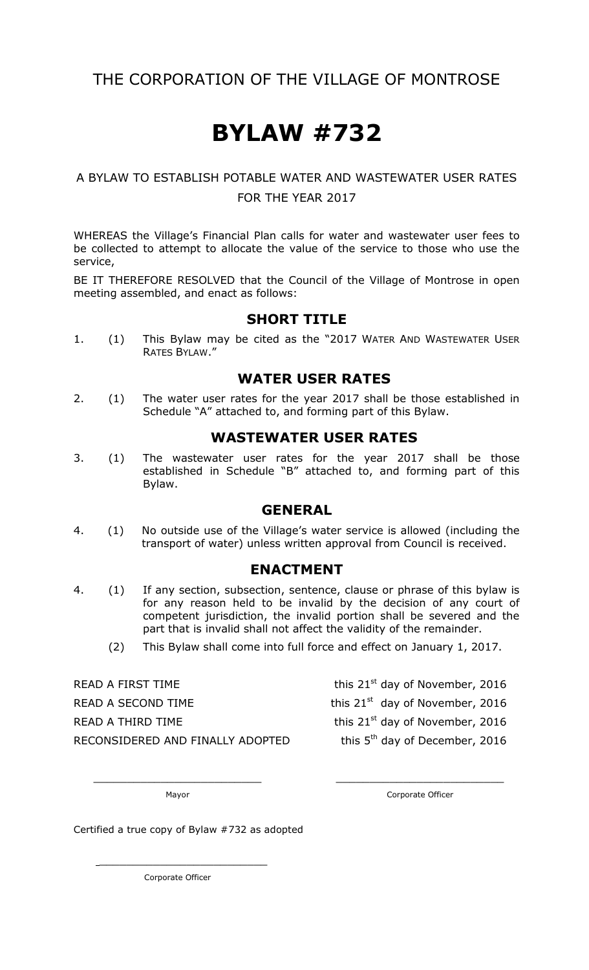# THE CORPORATION OF THE VILLAGE OF MONTROSE

# **BYLAW #732**

### A BYLAW TO ESTABLISH POTABLE WATER AND WASTEWATER USER RATES FOR THE YEAR 2017

WHEREAS the Village's Financial Plan calls for water and wastewater user fees to be collected to attempt to allocate the value of the service to those who use the service,

BE IT THEREFORE RESOLVED that the Council of the Village of Montrose in open meeting assembled, and enact as follows:

#### **SHORT TITLE**

1. (1) This Bylaw may be cited as the "2017 WATER AND WASTEWATER USER RATES BYLAW."

#### **WATER USER RATES**

2. (1) The water user rates for the year 2017 shall be those established in Schedule "A" attached to, and forming part of this Bylaw.

#### **WASTEWATER USER RATES**

3. (1) The wastewater user rates for the year 2017 shall be those established in Schedule "B" attached to, and forming part of this Bylaw.

#### **GENERAL**

4. (1) No outside use of the Village's water service is allowed (including the transport of water) unless written approval from Council is received.

#### **ENACTMENT**

- 4. (1) If any section, subsection, sentence, clause or phrase of this bylaw is for any reason held to be invalid by the decision of any court of competent jurisdiction, the invalid portion shall be severed and the part that is invalid shall not affect the validity of the remainder.
	- (2) This Bylaw shall come into full force and effect on January 1, 2017.

\_\_\_\_\_\_\_\_\_\_\_\_\_\_\_\_\_\_\_\_\_\_\_\_\_ \_\_\_\_\_\_\_\_\_\_\_\_\_\_\_\_\_\_\_\_\_\_\_\_\_

READ A FIRST TIME this  $21<sup>st</sup>$  day of November, 2016 READ A SECOND TIME this  $21<sup>st</sup>$  day of November, 2016 READ A THIRD TIME  $t$  this 21st day of November, 2016 RECONSIDERED AND FINALLY ADOPTED

this  $5<sup>th</sup>$  day of December, 2016

Mayor **Mayor** Corporate Officer

Certified a true copy of Bylaw #732 as adopted

Corporate Officer

 $\overline{\phantom{a}}$  , where  $\overline{\phantom{a}}$  , where  $\overline{\phantom{a}}$  , where  $\overline{\phantom{a}}$  , where  $\overline{\phantom{a}}$